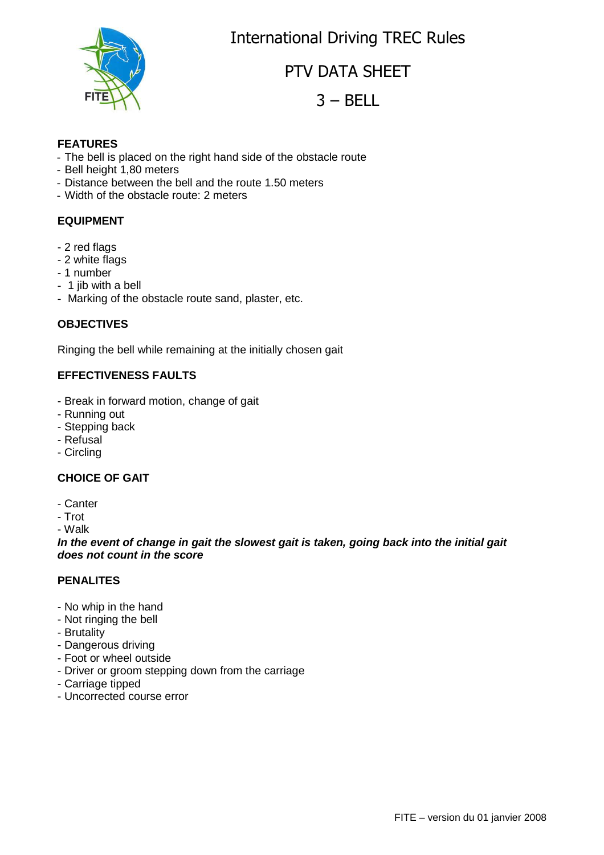International Driving TREC Rules



PTV DATA SHEET

 $3 - BELL$ 

#### **FEATURES**

- The bell is placed on the right hand side of the obstacle route
- Bell height 1,80 meters
- Distance between the bell and the route 1.50 meters
- Width of the obstacle route: 2 meters

#### **EQUIPMENT**

- 2 red flags
- 2 white flags
- 1 number
- 1 jib with a bell
- Marking of the obstacle route sand, plaster, etc.

#### **OBJECTIVES**

Ringing the bell while remaining at the initially chosen gait

### **EFFECTIVENESS FAULTS**

- Break in forward motion, change of gait
- Running out
- Stepping back
- Refusal
- Circling

#### **CHOICE OF GAIT**

- Canter
- Trot

- Walk

**In the event of change in gait the slowest gait is taken, going back into the initial gait does not count in the score**

#### **PENALITES**

- No whip in the hand
- Not ringing the bell
- Brutality
- Dangerous driving
- Foot or wheel outside
- Driver or groom stepping down from the carriage
- Carriage tipped
- Uncorrected course error